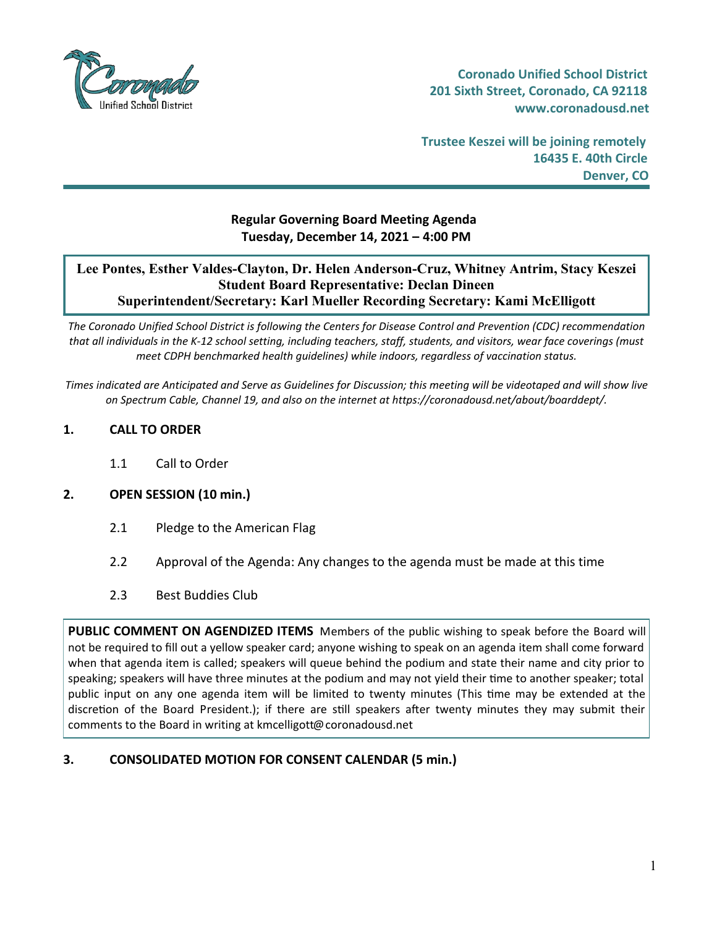

**Trustee Keszei will be joining remotely 16435 E. 40th Circle Denver, CO**

# **Regular Governing Board Meeting Agenda Tuesday, December 14, 2021 – 4:00 PM**

### **Lee Pontes, Esther Valdes-Clayton, Dr. Helen Anderson-Cruz, Whitney Antrim, Stacy Keszei Student Board Representative: Declan Dineen Superintendent/Secretary: Karl Mueller Recording Secretary: Kami McElligott**

The Coronado Unified School District is following the Centers for Disease Control and Prevention (CDC) recommendation that all individuals in the K-12 school setting, including teachers, staff, students, and visitors, wear face coverings (must *meet CDPH benchmarked health guidelines) while indoors, regardless of vaccination status.*

Times indicated are Anticipated and Serve as Guidelines for Discussion; this meeting will be videotaped and will show live *on Spectrum Cable, Channel 19, and also on the internet at https://coronadousd.net/about/boarddept/.*

### **1. CALL TO ORDER**

1.1 Call to Order

#### **2. OPEN SESSION (10 min.)**

- 2.1 Pledge to the American Flag
- 2.2 Approval of the Agenda: Any changes to the agenda must be made at this time
- 2.3 Best Buddies Club

**PUBLIC COMMENT ON AGENDIZED ITEMS** Members of the public wishing to speak before the Board will not be required to fill out a yellow speaker card; anyone wishing to speak on an agenda item shall come forward when that agenda item is called; speakers will queue behind the podium and state their name and city prior to speaking; speakers will have three minutes at the podium and may not yield their 'me to another speaker; total public input on any one agenda item will be limited to twenty minutes (This time may be extended at the discretion of the Board President.); if there are still speakers after twenty minutes they may submit their comments to the Board in writing at kmcelligott@coronadousd.net

## **3. CONSOLIDATED MOTION FOR CONSENT CALENDAR (5 min.)**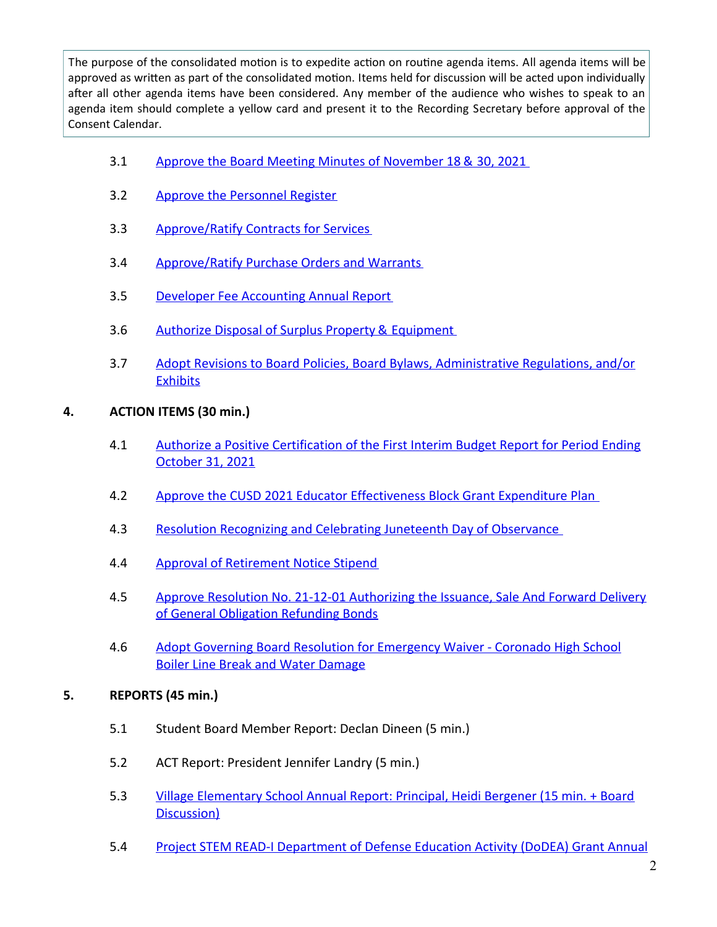The purpose of the consolidated motion is to expedite action on routine agenda items. All agenda items will be approved as written as part of the consolidated motion. Items held for discussion will be acted upon individually after all other agenda items have been considered. Any member of the audience who wishes to speak to an agenda item should complete a yellow card and present it to the Recording Secretary before approval of the Consent Calendar.

- 3.1 Approve the Board Meeting Minutes of [November](https://d2kbkoa27fdvtw.cloudfront.net/coronadousd/e159268644d9588033b4bceac9967b3f0.pdf) 18 & 30, 2021
- 3.2 Approve the [Personnel](https://d2kbkoa27fdvtw.cloudfront.net/coronadousd/0c5fccfeb2dc59b6cf941dbda1f7a45c0.pdf) Register
- 3.3 [Approve/Ratify](https://d2kbkoa27fdvtw.cloudfront.net/coronadousd/47395d0f73abd1e187c1e08fcf571f9c0.pdf) Contracts for Services
- 3.4 [Approve/Ratify](https://d2kbkoa27fdvtw.cloudfront.net/coronadousd/e31bb0ac5250eb71957af67f7f79e4900.pdf) Purchase Orders and Warrants
- 3.5 Developer Fee [Accounting](https://d2kbkoa27fdvtw.cloudfront.net/coronadousd/e0a96b1f34342a57ef851d861ef240950.pdf) Annual Report
- 3.6 Authorize Disposal of Surplus Property & [Equipment](https://d2kbkoa27fdvtw.cloudfront.net/coronadousd/a50b4ad3d3787ae3f315f9a003c6e1df0.pdf)
- 3.7 Adopt Revisions to Board Policies, Board Bylaws, [Administrative](https://d2kbkoa27fdvtw.cloudfront.net/coronadousd/c5260e85c39c6173ec6a906688ea4da30.pdf) Regulations, and/or **Exhibits**
- **4. ACTION ITEMS (30 min.)**
	- 4.1 Authorize a Positive [Certification](https://d2kbkoa27fdvtw.cloudfront.net/coronadousd/4648558f91392c0b279b82f3824609f00.pdf) of the First Interim Budget Report for Period Ending October 31, 2021
	- 4.2 Approve the CUSD 2021 Educator [Effectiveness](https://d2kbkoa27fdvtw.cloudfront.net/coronadousd/05f1e0ee82466167ac0b176ae4c6c7c10.pdf) Block Grant Expenditure Plan
	- 4.3 Resolution [Recognizing](https://d2kbkoa27fdvtw.cloudfront.net/coronadousd/cc92b60bae1f7a3f16e8baec181efabd0.pdf) and Celebrating Juneteenth Day of Observance
	- 4.4 Approval of [Retirement](https://d2kbkoa27fdvtw.cloudfront.net/coronadousd/11484d33e7bf0a638055641539d9c23f0.pdf) Notice Stipend
	- 4.5 Approve Resolution No. 21-12-01 [Authorizing](https://d2kbkoa27fdvtw.cloudfront.net/coronadousd/c8a68b4ab992c635aa2f103628d3bfd90.pdf) the Issuance, Sale And Forward Delivery of General Obligation Refunding Bonds
	- 4.6 Adopt Governing Board Resolution for [Emergency](https://d2kbkoa27fdvtw.cloudfront.net/coronadousd/1aa2e3d3a5ccc938a3f0294e044b7cbb0.pdf) Waiver Coronado High School Boiler Line Break and Water Damage

## **5. REPORTS (45 min.)**

- 5.1 Student Board Member Report: Declan Dineen (5 min.)
- 5.2 ACT Report: President Jennifer Landry (5 min.)
- 5.3 Village [Elementary](https://d2kbkoa27fdvtw.cloudfront.net/coronadousd/f7fb313d62ff9d13ff0921d8df2afe6b0.pdf) School Annual Report: Principal, Heidi Bergener (15 min. + Board Discussion)
- 5.4 Project STEM READ-I [Department](https://d2kbkoa27fdvtw.cloudfront.net/coronadousd/14f0cbd0b123400d64850378f7c6874e0.pdf) of Defense Education Activity (DoDEA) Grant Annual